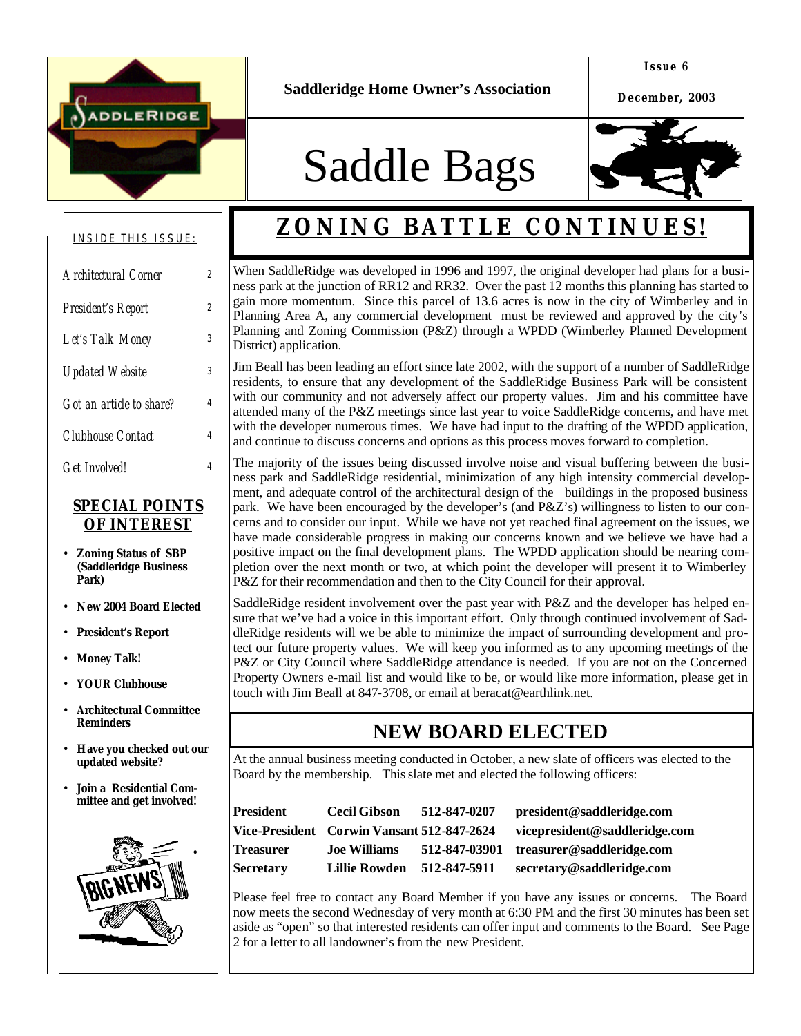

**Saddleridge Home Owner's Association**

**Issue 6**

**December, 2003**

# Saddle Bags



#### INSIDE THIS ISSUE:

| Architectural Corner     | $\overline{2}$ |
|--------------------------|----------------|
| President's Report       | $\overline{2}$ |
| Let's Talk Money         | 3              |
| <b>Updated Website</b>   | 3              |
| Got an article to share? | 4              |
| Clubhouse Contact        | 4              |
| <b>Get Involved!</b>     |                |

#### *SPECIAL POINTS OF INTEREST*

- **Zoning Status of SBP (Saddleridge Business Park)**
- **New 2004 Board Elected**
- **President's Report**
- **Money Talk!**
- **YOUR Clubhouse**
- **Architectural Committee Reminders**
- **Have you checked out our updated website?**
- **Join a Residential Committee and get involved!**



## **ZONING BATTLE CONTINUES!**

When SaddleRidge was developed in 1996 and 1997, the original developer had plans for a business park at the junction of RR12 and RR32. Over the past 12 months this planning has started to gain more momentum. Since this parcel of 13.6 acres is now in the city of Wimberley and in Planning Area A, any commercial development must be reviewed and approved by the city's Planning and Zoning Commission (P&Z) through a WPDD (Wimberley Planned Development District) application.

Jim Beall has been leading an effort since late 2002, with the support of a number of SaddleRidge residents, to ensure that any development of the SaddleRidge Business Park will be consistent with our community and not adversely affect our property values. Jim and his committee have attended many of the P&Z meetings since last year to voice SaddleRidge concerns, and have met with the developer numerous times. We have had input to the drafting of the WPDD application, and continue to discuss concerns and options as this process moves forward to completion.

The majority of the issues being discussed involve noise and visual buffering between the business park and SaddleRidge residential, minimization of any high intensity commercial development, and adequate control of the architectural design of the buildings in the proposed business park. We have been encouraged by the developer's (and P&Z's) willingness to listen to our concerns and to consider our input. While we have not yet reached final agreement on the issues, we have made considerable progress in making our concerns known and we believe we have had a positive impact on the final development plans. The WPDD application should be nearing completion over the next month or two, at which point the developer will present it to Wimberley P&Z for their recommendation and then to the City Council for their approval.

SaddleRidge resident involvement over the past year with P&Z and the developer has helped ensure that we've had a voice in this important effort. Only through continued involvement of SaddleRidge residents will we be able to minimize the impact of surrounding development and protect our future property values. We will keep you informed as to any upcoming meetings of the P&Z or City Council where SaddleRidge attendance is needed. If you are not on the Concerned Property Owners e-mail list and would like to be, or would like more information, please get in touch with Jim Beall at 847-3708, or email at beracat@earthlink.net.

### **NEW BOARD ELECTED**

At the annual business meeting conducted in October, a new slate of officers was elected to the Board by the membership. This slate met and elected the following officers:

| President | <b>Cecil Gibson</b>                           | 512-847-0207  | president@saddleridge.com     |
|-----------|-----------------------------------------------|---------------|-------------------------------|
|           | Vice-President    Corwin Vansant 512-847-2624 |               | vicepresident@saddleridge.com |
| Treasurer | <b>Joe Williams</b>                           | 512-847-03901 | treasurer@saddleridge.com     |
| Secretary | <b>Lillie Rowden</b>                          | 512-847-5911  | secretary@saddleridge.com     |

Please feel free to contact any Board Member if you have any issues or concerns. The Board now meets the second Wednesday of very month at 6:30 PM and the first 30 minutes has been set aside as "open" so that interested residents can offer input and comments to the Board. See Page 2 for a letter to all landowner's from the new President.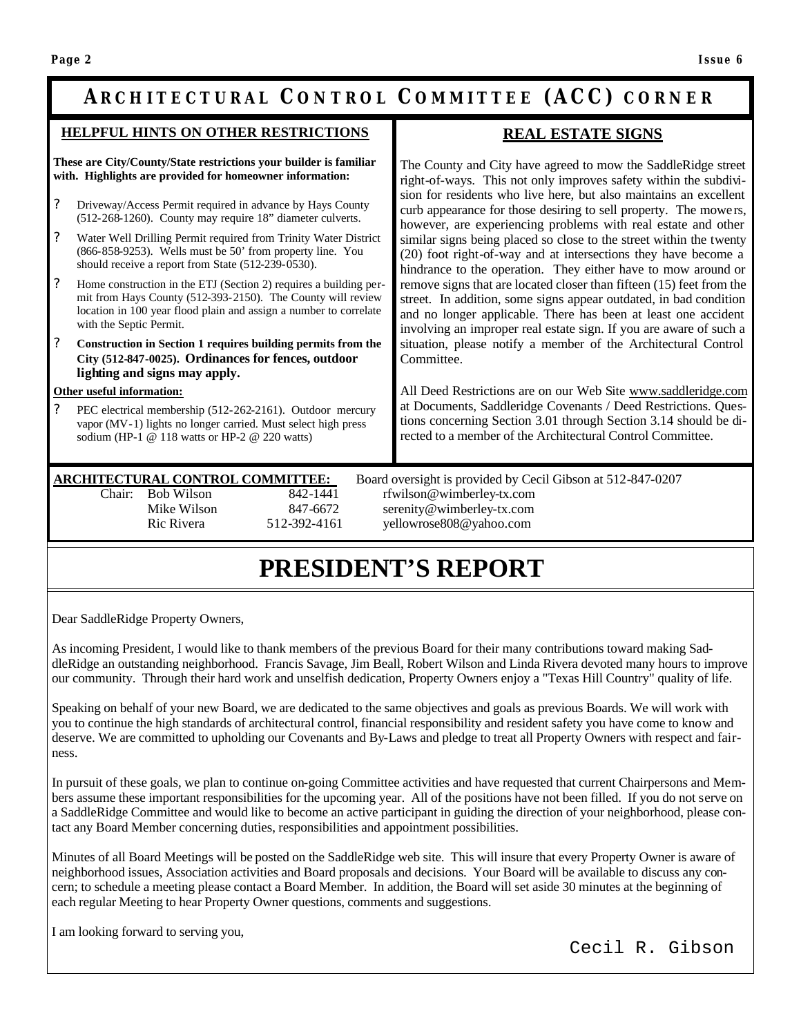### **ARCHITECTURAL C ONTROL C OMMITTEE (ACC) CORNER**

#### **HELPFUL HINTS ON OTHER RESTRICTIONS**

**These are City/County/State restrictions your builder is familiar with. Highlights are provided for homeowner information:**

- ? Driveway/Access Permit required in advance by Hays County (512-268-1260). County may require 18" diameter culverts.
- ? Water Well Drilling Permit required from Trinity Water District (866-858-9253). Wells must be 50' from property line. You should receive a report from State (512-239-0530).
- ? Home construction in the ETJ (Section 2) requires a building permit from Hays County (512-393-2150). The County will review location in 100 year flood plain and assign a number to correlate with the Septic Permit.
- ? **Construction in Section 1 requires building permits from the City (512-847-0025). Ordinances for fences, outdoor lighting and signs may apply.**

#### **Other useful information:**

? PEC electrical membership (512-262-2161). Outdoor mercury vapor (MV-1) lights no longer carried. Must select high press sodium (HP-1 @ 118 watts or HP-2 @ 220 watts)

#### **REAL ESTATE SIGNS**

The County and City have agreed to mow the SaddleRidge street right-of-ways. This not only improves safety within the subdivision for residents who live here, but also maintains an excellent curb appearance for those desiring to sell property. The mowers, however, are experiencing problems with real estate and other similar signs being placed so close to the street within the twenty (20) foot right-of-way and at intersections they have become a hindrance to the operation. They either have to mow around or remove signs that are located closer than fifteen (15) feet from the street. In addition, some signs appear outdated, in bad condition and no longer applicable. There has been at least one accident involving an improper real estate sign. If you are aware of such a situation, please notify a member of the Architectural Control Committee.

All Deed Restrictions are on our Web Site www.saddleridge.com at Documents, Saddleridge Covenants / Deed Restrictions. Questions concerning Section 3.01 through Section 3.14 should be directed to a member of the Architectural Control Committee.

**ARCHITECTURAL CONTROL COMMITTEE:** Board oversight is provided by Cecil Gibson at 512-847-0207 Chair: Bob Wilson 842-1441 rfwilson@wimberley-tx.com Mike Wilson 847-6672 serenity@wimberley-tx.com Ric Rivera 512-392-4161 yellowrose808@yahoo.com

### **PRESIDENT'S REPORT**

Dear SaddleRidge Property Owners,

As incoming President, I would like to thank members of the previous Board for their many contributions toward making SaddleRidge an outstanding neighborhood. Francis Savage, Jim Beall, Robert Wilson and Linda Rivera devoted many hours to improve our community. Through their hard work and unselfish dedication, Property Owners enjoy a "Texas Hill Country" quality of life.

Speaking on behalf of your new Board, we are dedicated to the same objectives and goals as previous Boards. We will work with you to continue the high standards of architectural control, financial responsibility and resident safety you have come to know and deserve. We are committed to upholding our Covenants and By-Laws and pledge to treat all Property Owners with respect and fairness.

In pursuit of these goals, we plan to continue on-going Committee activities and have requested that current Chairpersons and Members assume these important responsibilities for the upcoming year. All of the positions have not been filled. If you do not serve on a SaddleRidge Committee and would like to become an active participant in guiding the direction of your neighborhood, please contact any Board Member concerning duties, responsibilities and appointment possibilities.

Minutes of all Board Meetings will be posted on the SaddleRidge web site. This will insure that every Property Owner is aware of neighborhood issues, Association activities and Board proposals and decisions. Your Board will be available to discuss any concern; to schedule a meeting please contact a Board Member. In addition, the Board will set aside 30 minutes at the beginning of each regular Meeting to hear Property Owner questions, comments and suggestions.

I am looking forward to serving you,

Cecil R. Gibson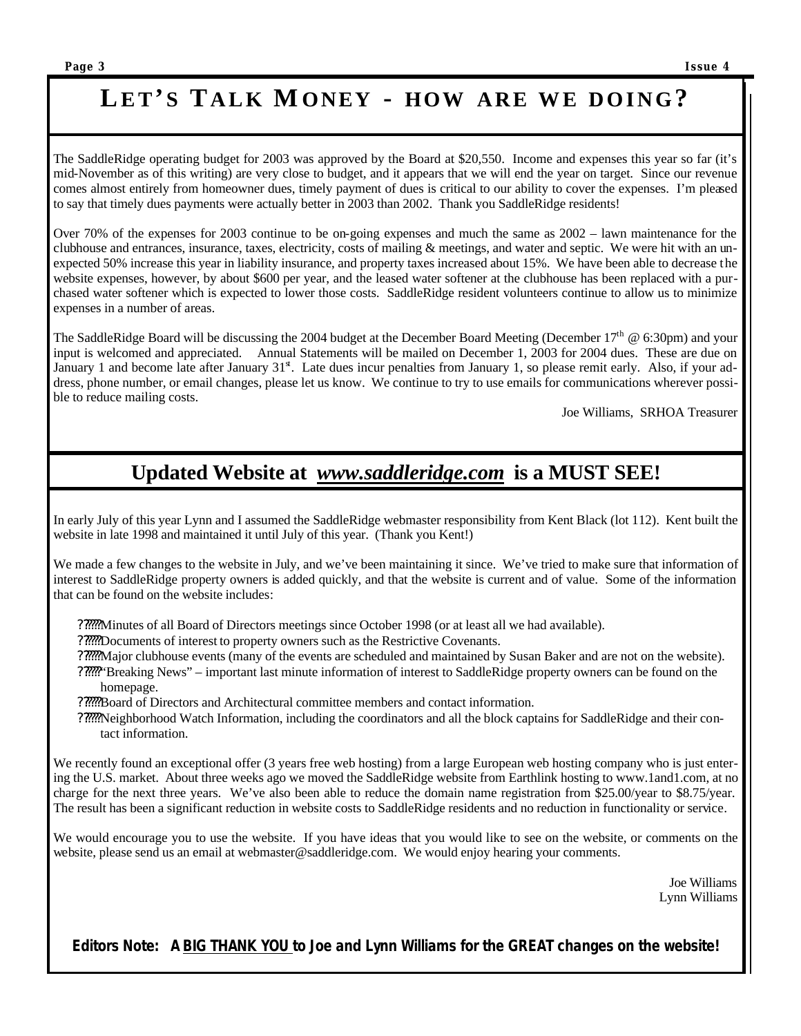### **SaddleBags LE T'S T ALK MONEY - HOW ARE W E DOING?**

The SaddleRidge operating budget for 2003 was approved by the Board at \$20,550. Income and expenses this year so far (it's mid-November as of this writing) are very close to budget, and it appears that we will end the year on target. Since our revenue comes almost entirely from homeowner dues, timely payment of dues is critical to our ability to cover the expenses. I'm pleased to say that timely dues payments were actually better in 2003 than 2002. Thank you SaddleRidge residents!

Over 70% of the expenses for 2003 continue to be on-going expenses and much the same as 2002 – lawn maintenance for the clubhouse and entrances, insurance, taxes, electricity, costs of mailing & meetings, and water and septic. We were hit with an unexpected 50% increase this year in liability insurance, and property taxes increased about 15%. We have been able to decrease the website expenses, however, by about \$600 per year, and the leased water softener at the clubhouse has been replaced with a purchased water softener which is expected to lower those costs. SaddleRidge resident volunteers continue to allow us to minimize expenses in a number of areas.

The SaddleRidge Board will be discussing the 2004 budget at the December Board Meeting (December  $17<sup>th</sup> \& 6:30 \text{pm}$ ) and your input is welcomed and appreciated. Annual Statements will be mailed on December 1, 2003 for 2004 dues. These are due on January 1 and become late after January 31<sup>st</sup>. Late dues incur penalties from January 1, so please remit early. Also, if your address, phone number, or email changes, please let us know. We continue to try to use emails for communications wherever possible to reduce mailing costs.

Joe Williams, SRHOA Treasurer

### **Updated Website at** *www.saddleridge.com* **is a MUST SEE!**

In early July of this year Lynn and I assumed the SaddleRidge webmaster responsibility from Kent Black (lot 112). Kent built the website in late 1998 and maintained it until July of this year. (Thank you Kent!)

We made a few changes to the website in July, and we've been maintaining it since. We've tried to make sure that information of interest to SaddleRidge property owners is added quickly, and that the website is current and of value. Some of the information that can be found on the website includes:

- ??????Minutes of all Board of Directors meetings since October 1998 (or at least all we had available).
- ??????Documents of interest to property owners such as the Restrictive Covenants.
- ??????Major clubhouse events (many of the events are scheduled and maintained by Susan Baker and are not on the website).
- ??????"Breaking News" important last minute information of interest to SaddleRidge property owners can be found on the homepage.
- ??????Board of Directors and Architectural committee members and contact information.
- ??????Neighborhood Watch Information, including the coordinators and all the block captains for SaddleRidge and their contact information.

We recently found an exceptional offer (3 years free web hosting) from a large European web hosting company who is just entering the U.S. market. About three weeks ago we moved the SaddleRidge website from Earthlink hosting to www.1and1.com, at no charge for the next three years. We've also been able to reduce the domain name registration from \$25.00/year to \$8.75/year. The result has been a significant reduction in website costs to SaddleRidge residents and no reduction in functionality or service.

We would encourage you to use the website. If you have ideas that you would like to see on the website, or comments on the website, please send us an email at webmaster@saddleridge.com. We would enjoy hearing your comments.

> Joe Williams Lynn Williams

*Editors Note: A BIG THANK YOU to Joe and Lynn Williams for the GREAT changes on the website!*